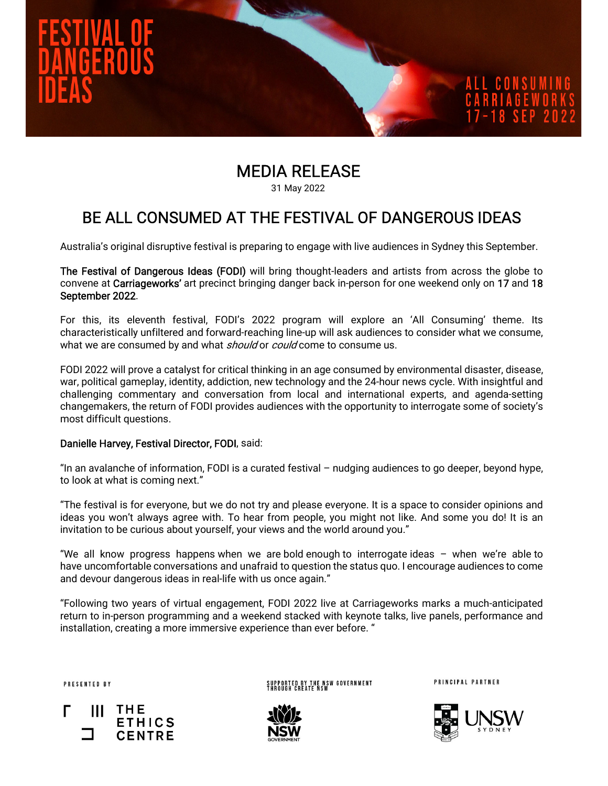

# MEDIA RELEASE

31 May 2022

## BE ALL CONSUMED AT THE FESTIVAL OF DANGEROUS IDEAS

Australia's original disruptive festival is preparing to engage with live audiences in Sydney this September.

The Festival of Dangerous Ideas (FODI) will bring thought-leaders and artists from across the globe to convene at Carriageworks' art precinct bringing danger back in-person for one weekend only on 17 and 18 September 2022.

For this, its eleventh festival, FODI's 2022 program will explore an 'All Consuming' theme. Its characteristically unfiltered and forward-reaching line-up will ask audiences to consider what we consume, what we are consumed by and what *should* or *could* come to consume us.

FODI 2022 will prove a catalyst for critical thinking in an age consumed by environmental disaster, disease, war, political gameplay, identity, addiction, new technology and the 24-hour news cycle. With insightful and challenging commentary and conversation from local and international experts, and agenda-setting changemakers, the return of FODI provides audiences with the opportunity to interrogate some of society's most difficult questions.

### Danielle Harvey, Festival Director, FODI, said:

"In an avalanche of information, FODI is a curated festival – nudging audiences to go deeper, beyond hype, to look at what is coming next."

"The festival is for everyone, but we do not try and please everyone. It is a space to consider opinions and ideas you won't always agree with. To hear from people, you might not like. And some you do! It is an invitation to be curious about yourself, your views and the world around you."

"We all know progress happens when we are bold enough to interrogate ideas – when we're able to have uncomfortable conversations and unafraid to question the status quo. I encourage audiences to come and devour dangerous ideas in real-life with us once again."

"Following two years of virtual engagement, FODI 2022 live at Carriageworks marks a much-anticipated return to in-person programming and a weekend stacked with keynote talks, live panels, performance and installation, creating a more immersive experience than ever before. "

PRESENTED BY



SUPPORTED BY THE NSW GOVERNMENT<br>Through create NSW



PRINCIPAL PARTNER